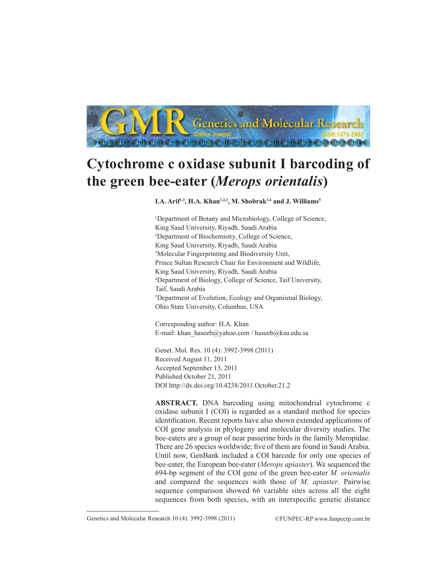

# **Cytochrome c oxidase subunit I barcoding of the green bee-eater (***Merops orientalis***)**

### I.A. Arif<sup>1,3</sup>, H.A. Khan<sup>1,2,3</sup>, M. Shobrak<sup>3,4</sup> and J. Williams<sup>5</sup>

<sup>1</sup>Department of Botany and Microbiology, College of Science, King Saud University, Riyadh, Saudi Arabia 2 Department of Biochemistry, College of Science, King Saud University, Riyadh, Saudi Arabia 3 Molecular Fingerprinting and Biodiversity Unit, Prince Sultan Research Chair for Environment and Wildlife, King Saud University, Riyadh, Saudi Arabia 4 Department of Biology, College of Science, Taif University, Taif, Saudi Arabia 5 Department of Evolution, Ecology and Organismal Biology, Ohio State University, Columbus, USA

Corresponding author: H.A. Khan E-mail: khan\_haseeb@yahoo.com / haseeb@ksu.edu.sa

Genet. Mol. Res. 10 (4): 3992-3998 (2011) Received August 11, 2011 Accepted September 13, 2011 Published October 21, 2011 DOI http://dx.doi.org/10.4238/2011.October.21.2

**ABSTRACT.** DNA barcoding using mitochondrial cytochrome c oxidase subunit I (COI) is regarded as a standard method for species identification. Recent reports have also shown extended applications of COI gene analysis in phylogeny and molecular diversity studies. The bee-eaters are a group of near passerine birds in the family Meropidae. There are 26 species worldwide; five of them are found in Saudi Arabia. Until now, GenBank included a COI barcode for only one species of bee-eater, the European bee-eater (*Merops apiaster*). We sequenced the 694-bp segment of the COI gene of the green bee-eater *M. orientalis* and compared the sequences with those of *M. apiaster*. Pairwise sequence comparison showed 66 variable sites across all the eight sequences from both species, with an interspecific genetic distance

Genetics and Molecular Research 10 (4): 3992-3998 (2011) ©FUNPEC-RP www.funpecrp.com.br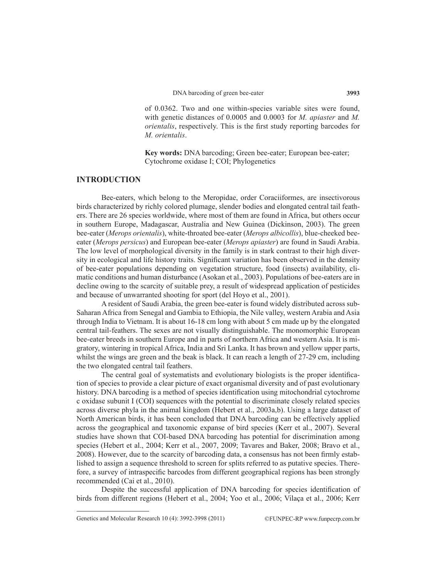of 0.0362. Two and one within-species variable sites were found, with genetic distances of 0.0005 and 0.0003 for *M. apiaster* and *M. orientalis*, respectively. This is the first study reporting barcodes for *M. orientalis*.

**Key words:** DNA barcoding; Green bee-eater; European bee-eater; Cytochrome oxidase I; COI; Phylogenetics

#### **INTRODUCTION**

Bee-eaters, which belong to the Meropidae, order Coraciiformes, are insectivorous birds characterized by richly colored plumage, slender bodies and elongated central tail feathers. There are 26 species worldwide, where most of them are found in Africa, but others occur in southern Europe, Madagascar, Australia and New Guinea (Dickinson, 2003). The green bee-eater (*Merops orientalis*), white-throated bee-eater (*Merops albicollis*), blue-cheeked beeeater (*Merops persicus*) and European bee-eater (*Merops apiaster*) are found in Saudi Arabia. The low level of morphological diversity in the family is in stark contrast to their high diversity in ecological and life history traits. Significant variation has been observed in the density of bee-eater populations depending on vegetation structure, food (insects) availability, climatic conditions and human disturbance (Asokan et al., 2003). Populations of bee-eaters are in decline owing to the scarcity of suitable prey, a result of widespread application of pesticides and because of unwarranted shooting for sport (del Hoyo et al., 2001).

A resident of Saudi Arabia, the green bee-eater is found widely distributed across sub-Saharan Africa from Senegal and Gambia to Ethiopia, the Nile valley, western Arabia and Asia through India to Vietnam. It is about 16-18 cm long with about 5 cm made up by the elongated central tail-feathers. The sexes are not visually distinguishable. The monomorphic European bee-eater breeds in southern Europe and in parts of northern Africa and western Asia. It is migratory, wintering in tropical Africa, India and Sri Lanka. It has brown and yellow upper parts, whilst the wings are green and the beak is black. It can reach a length of 27-29 cm, including the two elongated central tail feathers.

The central goal of systematists and evolutionary biologists is the proper identification of species to provide a clear picture of exact organismal diversity and of past evolutionary history. DNA barcoding is a method of species identification using mitochondrial cytochrome c oxidase subunit I (COI) sequences with the potential to discriminate closely related species across diverse phyla in the animal kingdom (Hebert et al., 2003a,b). Using a large dataset of North American birds, it has been concluded that DNA barcoding can be effectively applied across the geographical and taxonomic expanse of bird species (Kerr et al., 2007). Several studies have shown that COI-based DNA barcoding has potential for discrimination among species (Hebert et al., 2004; Kerr et al., 2007, 2009; Tavares and Baker, 2008; Bravo et al., 2008). However, due to the scarcity of barcoding data, a consensus has not been firmly established to assign a sequence threshold to screen for splits referred to as putative species. Therefore, a survey of intraspecific barcodes from different geographical regions has been strongly recommended (Cai et al., 2010).

Despite the successful application of DNA barcoding for species identification of birds from different regions (Hebert et al., 2004; Yoo et al., 2006; Vilaça et al., 2006; Kerr

Genetics and Molecular Research 10 (4): 3992-3998 (2011) ©FUNPEC-RP www.funpecrp.com.br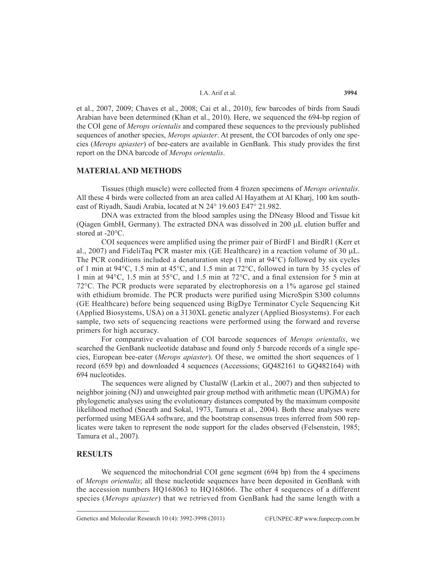et al., 2007, 2009; Chaves et al., 2008; Cai et al., 2010), few barcodes of birds from Saudi Arabian have been determined (Khan et al., 2010). Here, we sequenced the 694-bp region of the COI gene of *Merops orientalis* and compared these sequences to the previously published sequences of another species, *Merops apiaster*. At present, the COI barcodes of only one species (*Merops apiaster*) of bee-eaters are available in GenBank. This study provides the first report on the DNA barcode of *Merops orientalis*.

#### **MATERIAL AND METHODS**

Tissues (thigh muscle) were collected from 4 frozen specimens of *Merops orientalis*. All these 4 birds were collected from an area called Al Hayathem at Al Kharj, 100 km southeast of Riyadh, Saudi Arabia, located at N 24° 19.603 E47° 21.982.

DNA was extracted from the blood samples using the DNeasy Blood and Tissue kit (Qiagen GmbH, Germany). The extracted DNA was dissolved in  $200 \mu L$  elution buffer and stored at -20°C.

COI sequences were amplified using the primer pair of BirdF1 and BirdR1 (Kerr et al., 2007) and FideliTaq PCR master mix (GE Healthcare) in a reaction volume of 30  $\mu$ L. The PCR conditions included a denaturation step (1 min at 94°C) followed by six cycles of 1 min at 94°C, 1.5 min at 45°C, and 1.5 min at 72°C, followed in turn by 35 cycles of 1 min at 94°C, 1.5 min at 55°C, and 1.5 min at 72°C, and a final extension for 5 min at 72°C. The PCR products were separated by electrophoresis on a 1% agarose gel stained with ethidium bromide. The PCR products were purified using MicroSpin S300 columns (GE Healthcare) before being sequenced using BigDye Terminator Cycle Sequencing Kit (Applied Biosystems, USA) on a 3130XL genetic analyzer (Applied Biosystems). For each sample, two sets of sequencing reactions were performed using the forward and reverse primers for high accuracy.

For comparative evaluation of COI barcode sequences of *Merops orientalis*, we searched the GenBank nucleotide database and found only 5 barcode records of a single species, European bee-eater (*Merops apiaster*). Of these, we omitted the short sequences of 1 record (659 bp) and downloaded 4 sequences (Accessions; GQ482161 to GQ482164) with 694 nucleotides.

The sequences were aligned by ClustalW (Larkin et al., 2007) and then subjected to neighbor joining (NJ) and unweighted pair group method with arithmetic mean (UPGMA) for phylogenetic analyses using the evolutionary distances computed by the maximum composite likelihood method (Sneath and Sokal, 1973, Tamura et al., 2004). Both these analyses were performed using MEGA4 software, and the bootstrap consensus trees inferred from 500 replicates were taken to represent the node support for the clades observed (Felsenstein, 1985; Tamura et al., 2007).

# **RESULTS**

We sequenced the mitochondrial COI gene segment (694 bp) from the 4 specimens of *Merops orientalis*; all these nucleotide sequences have been deposited in GenBank with the accession numbers HQ168063 to HQ168066. The other 4 sequences of a different species (*Merops apiaster*) that we retrieved from GenBank had the same length with a

Genetics and Molecular Research 10 (4): 3992-3998 (2011) ©FUNPEC-RP www.funpecrp.com.br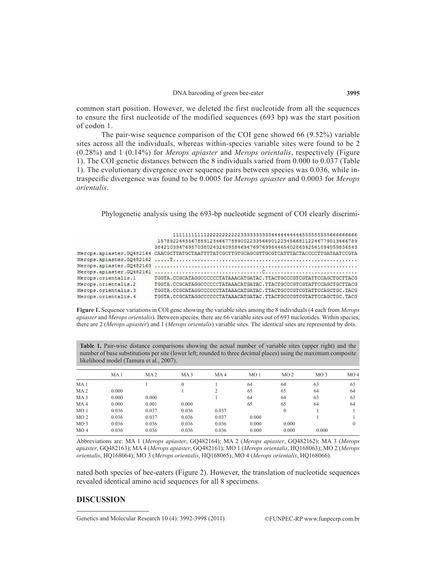common start position. However, we deleted the first nucleotide from all the sequences to ensure the first nucleotide of the modified sequences (693 bp) was the start position of codon 1.

The pair-wise sequence comparison of the COI gene showed 66 (9.52%) variable sites across all the individuals, whereas within-species variable sites were found to be 2 (0.28%) and 1 (0.14%) for *Merops apiaster* and *Merops orientalis*, respectively (Figure 1). The COI genetic distances between the 8 individuals varied from 0.000 to 0.037 (Table 1). The evolutionary divergence over sequence pairs between species was 0.036, while intraspecific divergence was found to be 0.0005 for *Merops apiaster* and 0.0003 for *Merops orientalis*.

Phylogenetic analysis using the 693-bp nucleotide segment of COI clearly discrimi-

|                     | 15789224455678891234667788900223356690122345668112246779013466789                           |
|---------------------|---------------------------------------------------------------------------------------------|
|                     | 384210394769570380243240958469476976998446540286342561094059836543                          |
|                     | Merops.apiaster.GO482164 CAACGCTTATGCTAATTTTATCGCTTGTGCAGCGTTGCGTCATTTACTACCCCTTGATAATCCGTA |
|                     |                                                                                             |
|                     |                                                                                             |
|                     |                                                                                             |
| Merops.orientalis.1 | TGGTA.CCGCATAGGCCCCCCTATAAACATGATAC.TTACTGCCCGTCGTATTCCAGCTGCTTACG                          |
| Merops.orientalis.2 | TGGTA.CCGCATAGGCCCCCCTATAAACATGATAC.TTACTGCCCGTCGTATTCCAGCTGCTTACG                          |
| Merops.orientalis.3 | TGGTA.CCGCATAGGCCCCCCTATAAACATGATAC.TTACTGCCCGTCGTATTCCAGCTGC.TACG                          |
| Merops.orientalis.4 | TGGTA.CCGCATAGGCCCCCCTATAAACATGATAC.TTACTGCCCGTCGTATTCCAGCTGC.TACG                          |

**Figure 1.** Sequence variations in COI gene showing the variable sites among the 8 individuals (4 each from *Merops apiaster* and *Merops orientalis*). Between species, there are 66 variable sites out of 693 nucleotides. Within species, there are 2 (*Merops apiaster*) and 1 (*Merops orientalis*) variable sites. The identical sites are represented by dots.

**Table 1.** Pair-wise distance comparisons showing the actual number of variable sites (upper right) and the number of base substitutions per site (lower left; rounded to three decimal places) using the maximum composite likelihood model (Tamura et al., 2007).

|                 | MA <sub>1</sub> | MA2   | MA <sub>3</sub> | MA4   | MO <sub>1</sub> | MO <sub>2</sub> | MO3   | MO <sub>4</sub> |
|-----------------|-----------------|-------|-----------------|-------|-----------------|-----------------|-------|-----------------|
| MA 1            |                 |       | $\mathbf{0}$    |       | 64              | 64              | 63    | 63              |
| MA <sub>2</sub> | 0.000           |       |                 |       | 65              | 65              | 64    | 64              |
| MA <sub>3</sub> | 0.000           | 0.000 |                 |       | 64              | 64              | 63    | 63              |
| MA <sub>4</sub> | 0.000           | 0.001 | 0.000           |       | 65              | 65              | 64    | 64              |
| MO <sub>1</sub> | 0.036           | 0.037 | 0.036           | 0.037 |                 |                 |       |                 |
| MO <sub>2</sub> | 0.036           | 0.037 | 0.036           | 0.037 | 0.000           |                 |       |                 |
| MO3             | 0.036           | 0.036 | 0.036           | 0.036 | 0.000           | 0.000           |       |                 |
| MO <sub>4</sub> | 0.036           | 0.036 | 0.036           | 0.036 | 0.000           | 0.000           | 0.000 |                 |

Abbreviations are: MA 1 (*Merops apiaster*, GQ482164); MA 2 (*Merops apiaster*, GQ482162); MA 3 (*Merops apiaster*, GQ482163); MA 4 (*Merops apiaster*, GQ482161); MO 1 (*Merops orientalis*, HQ168063); MO 2 (*Merops orientalis*, HQ168064); MO 3 (*Merops orientalis*, HQ168065); MO 4 (*Merops orientalis*, HQ168066).

nated both species of bee-eaters (Figure 2). However, the translation of nucleotide sequences revealed identical amino acid sequences for all 8 specimens.

### **DISCUSSION**

Genetics and Molecular Research 10 (4): 3992-3998 (2011) ©FUNPEC-RP www.funpecrp.com.br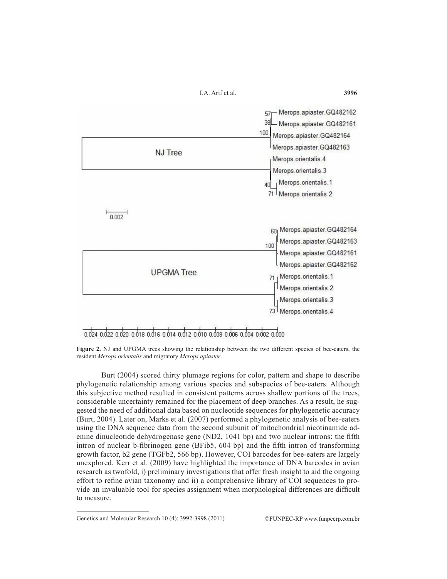

0.024 0.022 0.020 0.018 0.016 0.014 0.012 0.010 0.008 0.006 0.004 0.002 0.000

**Figure 2.** NJ and UPGMA trees showing the relationship between the two different species of bee-eaters, the resident *Merops orientalis* and migratory *Merops apiaster*.

Burt (2004) scored thirty plumage regions for color, pattern and shape to describe phylogenetic relationship among various species and subspecies of bee-eaters. Although this subjective method resulted in consistent patterns across shallow portions of the trees, considerable uncertainty remained for the placement of deep branches. As a result, he suggested the need of additional data based on nucleotide sequences for phylogenetic accuracy (Burt, 2004). Later on, Marks et al. (2007) performed a phylogenetic analysis of bee-eaters using the DNA sequence data from the second subunit of mitochondrial nicotinamide adenine dinucleotide dehydrogenase gene (ND2, 1041 bp) and two nuclear introns: the fifth intron of nuclear b-fibrinogen gene (BFib5, 604 bp) and the fifth intron of transforming growth factor, b2 gene (TGFb2, 566 bp). However, COI barcodes for bee-eaters are largely unexplored. Kerr et al. (2009) have highlighted the importance of DNA barcodes in avian research as twofold, i) preliminary investigations that offer fresh insight to aid the ongoing effort to refine avian taxonomy and ii) a comprehensive library of COI sequences to provide an invaluable tool for species assignment when morphological differences are difficult to measure.

Genetics and Molecular Research 10 (4): 3992-3998 (2011) ©FUNPEC-RP www.funpecrp.com.br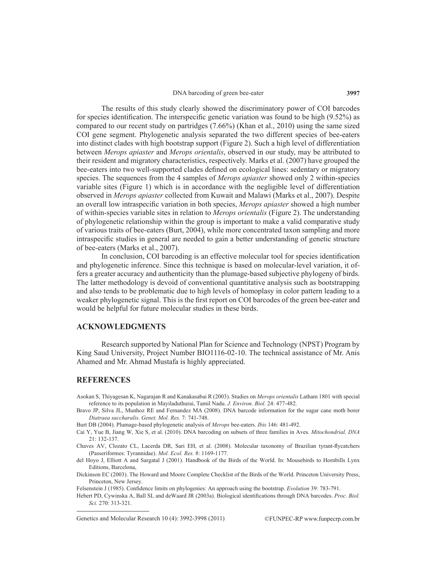The results of this study clearly showed the discriminatory power of COI barcodes for species identification. The interspecific genetic variation was found to be high (9.52%) as compared to our recent study on partridges (7.66%) (Khan et al., 2010) using the same sized COI gene segment. Phylogenetic analysis separated the two different species of bee-eaters into distinct clades with high bootstrap support (Figure 2). Such a high level of differentiation between *Merops apiaster* and *Merops orientalis*, observed in our study, may be attributed to their resident and migratory characteristics, respectively. Marks et al. (2007) have grouped the bee-eaters into two well-supported clades defined on ecological lines: sedentary or migratory species. The sequences from the 4 samples of *Merops apiaster* showed only 2 within-species variable sites (Figure 1) which is in accordance with the negligible level of differentiation observed in *Merops apiaster* collected from Kuwait and Malawi (Marks et al., 2007). Despite an overall low intraspecific variation in both species, *Merops apiaster* showed a high number of within-species variable sites in relation to *Merops orientalis* (Figure 2). The understanding of phylogenetic relationship within the group is important to make a valid comparative study of various traits of bee-eaters (Burt, 2004), while more concentrated taxon sampling and more intraspecific studies in general are needed to gain a better understanding of genetic structure of bee-eaters (Marks et al., 2007).

In conclusion, COI barcoding is an effective molecular tool for species identification and phylogenetic inference. Since this technique is based on molecular-level variation, it offers a greater accuracy and authenticity than the plumage-based subjective phylogeny of birds. The latter methodology is devoid of conventional quantitative analysis such as bootstrapping and also tends to be problematic due to high levels of homoplasy in color pattern leading to a weaker phylogenetic signal. This is the first report on COI barcodes of the green bee-eater and would be helpful for future molecular studies in these birds.

# **ACKNOWLEDGMENTS**

Research supported by National Plan for Science and Technology (NPST) Program by King Saud University, Project Number BIO1116-02-10. The technical assistance of Mr. Anis Ahamed and Mr. Ahmad Mustafa is highly appreciated.

# **REFERENCES**

- Asokan S, Thiyagesan K, Nagarajan R and Kanakasabai R (2003). Studies on *Merops orientalis* Latham 1801 with special reference to its population in Mayiladuthurai, Tamil Nadu. *J. Environ. Biol.* 24: 477-482.
- Bravo JP, Silva JL, Munhoz RE and Fernandez MA (2008). DNA barcode information for the sugar cane moth borer *Diatraea saccharalis*. *Genet. Mol. Res.* 7: 741-748.

Cai Y, Yue B, Jiang W, Xie S, et al. (2010). DNA barcoding on subsets of three families in Aves. *Mitochondrial. DNA* 21: 132-137.

Chaves AV, Clozato CL, Lacerda DR, Sari EH, et al. (2008). Molecular taxonomy of Brazilian tyrant-flycatchers (Passeriformes: Tyrannidae). *Mol. Ecol. Res.* 8: 1169-1177.

- del Hoyo J, Elliott A and Sargatal J (2001). Handbook of the Birds of the World. In: Mousebirds to Hornbills Lynx Editions, Barcelona,
- Dickinson EC (2003). The Howard and Moore Complete Checklist of the Birds of the World. Princeton University Press, Princeton, New Jersey.

Felsenstein J (1985). Confidence limits on phylogenies: An approach using the bootstrap. *Evolution* 39: 783-791.

Hebert PD, Cywinska A, Ball SL and deWaard JR (2003a). Biological identifications through DNA barcodes. *Proc. Biol. Sci.* 270: 313-321.

Genetics and Molecular Research 10 (4): 3992-3998 (2011) ©FUNPEC-RP www.funpecrp.com.br

Burt DB (2004). Plumage-based phylogenetic analysis of *Merops* bee-eaters. *Ibis* 146: 481-492.